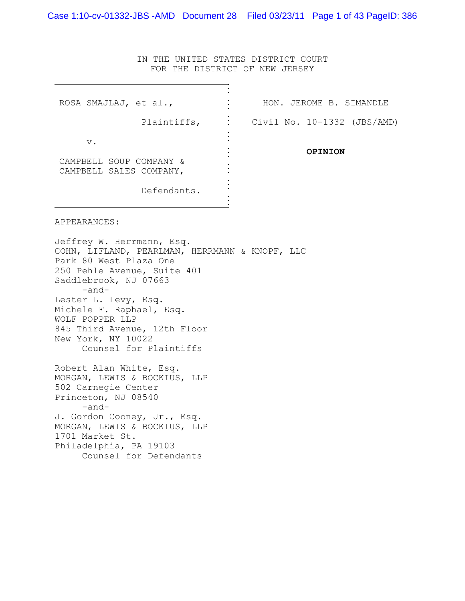IN THE UNITED STATES DISTRICT COURT FOR THE DISTRICT OF NEW JERSEY

| ROSA SMAJLAJ, et al.,                                                                                                                                                                                                                                                                                                               | HON. JEROME B. SIMANDLE     |
|-------------------------------------------------------------------------------------------------------------------------------------------------------------------------------------------------------------------------------------------------------------------------------------------------------------------------------------|-----------------------------|
| Plaintiffs,                                                                                                                                                                                                                                                                                                                         | Civil No. 10-1332 (JBS/AMD) |
| $\mathbf v$ .                                                                                                                                                                                                                                                                                                                       |                             |
| CAMPBELL SOUP COMPANY &<br>CAMPBELL SALES COMPANY,                                                                                                                                                                                                                                                                                  | <b>OPINION</b>              |
| Defendants.                                                                                                                                                                                                                                                                                                                         |                             |
| APPEARANCES:                                                                                                                                                                                                                                                                                                                        |                             |
| Jeffrey W. Herrmann, Esq.<br>COHN, LIFLAND, PEARLMAN, HERRMANN & KNOPF, LLC<br>Park 80 West Plaza One<br>250 Pehle Avenue, Suite 401<br>Saddlebrook, NJ 07663<br>$-$ and $-$<br>Lester L. Levy, Esq.<br>Michele F. Raphael, Esq.<br>WOLF POPPER LLP<br>845 Third Avenue, 12th Floor<br>New York, NY 10022<br>Counsel for Plaintiffs |                             |
| Robert Alan White, Esq.<br>MORGAN, LEWIS & BOCKIUS, LLP<br>502 Carnegie Center<br>Princeton, NJ 08540<br>-and-<br>J. Gordon Cooney, Jr., Esq.<br>MORGAN, LEWIS & BOCKIUS, LLP<br>1701 Market St.                                                                                                                                    |                             |
| Philadelphia, PA 19103<br>Counsel for Defendants                                                                                                                                                                                                                                                                                    |                             |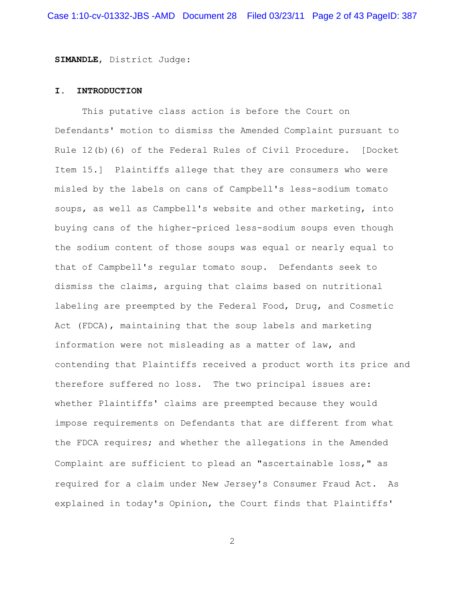**SIMANDLE**, District Judge:

#### **I. INTRODUCTION**

This putative class action is before the Court on Defendants' motion to dismiss the Amended Complaint pursuant to Rule 12(b)(6) of the Federal Rules of Civil Procedure. [Docket Item 15.] Plaintiffs allege that they are consumers who were misled by the labels on cans of Campbell's less-sodium tomato soups, as well as Campbell's website and other marketing, into buying cans of the higher-priced less-sodium soups even though the sodium content of those soups was equal or nearly equal to that of Campbell's regular tomato soup. Defendants seek to dismiss the claims, arguing that claims based on nutritional labeling are preempted by the Federal Food, Drug, and Cosmetic Act (FDCA), maintaining that the soup labels and marketing information were not misleading as a matter of law, and contending that Plaintiffs received a product worth its price and therefore suffered no loss. The two principal issues are: whether Plaintiffs' claims are preempted because they would impose requirements on Defendants that are different from what the FDCA requires; and whether the allegations in the Amended Complaint are sufficient to plead an "ascertainable loss," as required for a claim under New Jersey's Consumer Fraud Act. As explained in today's Opinion, the Court finds that Plaintiffs'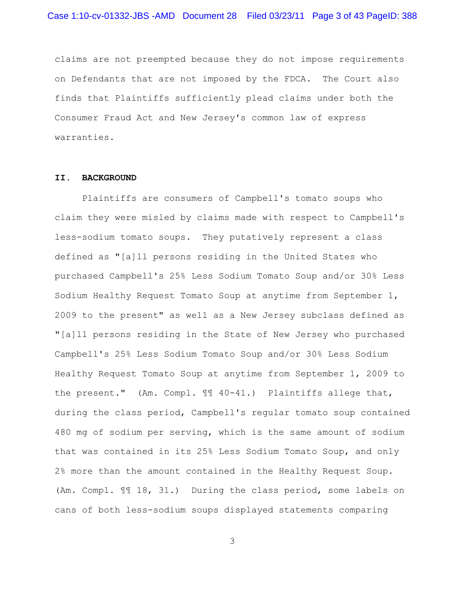claims are not preempted because they do not impose requirements on Defendants that are not imposed by the FDCA. The Court also finds that Plaintiffs sufficiently plead claims under both the Consumer Fraud Act and New Jersey's common law of express warranties.

#### **II. BACKGROUND**

Plaintiffs are consumers of Campbell's tomato soups who claim they were misled by claims made with respect to Campbell's less-sodium tomato soups. They putatively represent a class defined as "[a]ll persons residing in the United States who purchased Campbell's 25% Less Sodium Tomato Soup and/or 30% Less Sodium Healthy Request Tomato Soup at anytime from September 1, 2009 to the present" as well as a New Jersey subclass defined as "[a]ll persons residing in the State of New Jersey who purchased Campbell's 25% Less Sodium Tomato Soup and/or 30% Less Sodium Healthy Request Tomato Soup at anytime from September 1, 2009 to the present." (Am. Compl.  $\mathbb{I}$  40-41.) Plaintiffs allege that, during the class period, Campbell's regular tomato soup contained 480 mg of sodium per serving, which is the same amount of sodium that was contained in its 25% Less Sodium Tomato Soup, and only 2% more than the amount contained in the Healthy Request Soup. (Am. Compl. ¶¶ 18, 31.) During the class period, some labels on cans of both less-sodium soups displayed statements comparing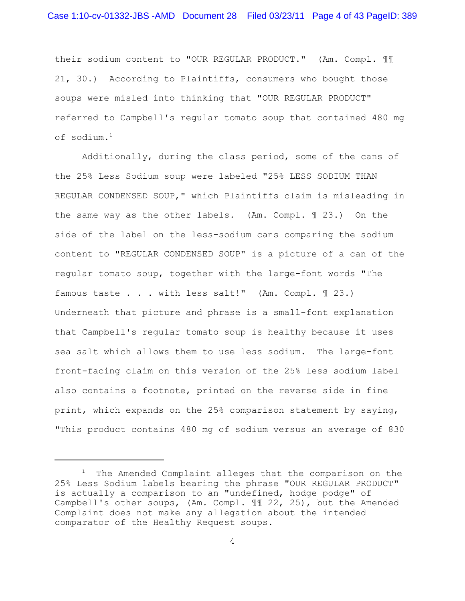their sodium content to "OUR REGULAR PRODUCT." (Am. Compl. ¶¶ 21, 30.) According to Plaintiffs, consumers who bought those soups were misled into thinking that "OUR REGULAR PRODUCT" referred to Campbell's regular tomato soup that contained 480 mg of sodium.<sup>1</sup>

Additionally, during the class period, some of the cans of the 25% Less Sodium soup were labeled "25% LESS SODIUM THAN REGULAR CONDENSED SOUP," which Plaintiffs claim is misleading in the same way as the other labels. (Am. Compl. ¶ 23.) On the side of the label on the less-sodium cans comparing the sodium content to "REGULAR CONDENSED SOUP" is a picture of a can of the regular tomato soup, together with the large-font words "The famous taste . . . with less salt!" (Am. Compl. ¶ 23.) Underneath that picture and phrase is a small-font explanation that Campbell's regular tomato soup is healthy because it uses sea salt which allows them to use less sodium. The large-font front-facing claim on this version of the 25% less sodium label also contains a footnote, printed on the reverse side in fine print, which expands on the 25% comparison statement by saying, "This product contains 480 mg of sodium versus an average of 830

 $1$  The Amended Complaint alleges that the comparison on the 25% Less Sodium labels bearing the phrase "OUR REGULAR PRODUCT" is actually a comparison to an "undefined, hodge podge" of Campbell's other soups, (Am. Compl. ¶¶ 22, 25), but the Amended Complaint does not make any allegation about the intended comparator of the Healthy Request soups.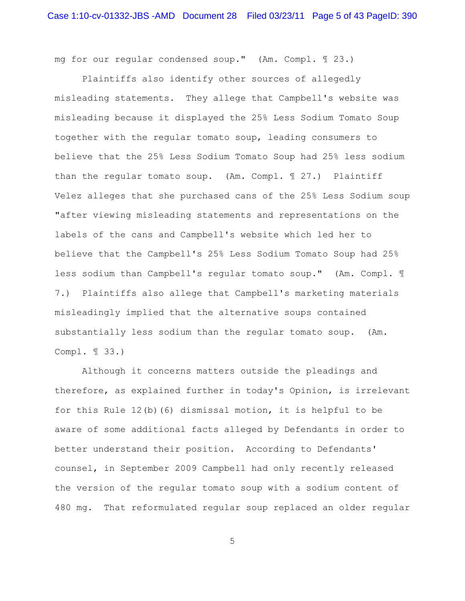mg for our regular condensed soup." (Am. Compl. ¶ 23.)

Plaintiffs also identify other sources of allegedly misleading statements. They allege that Campbell's website was misleading because it displayed the 25% Less Sodium Tomato Soup together with the regular tomato soup, leading consumers to believe that the 25% Less Sodium Tomato Soup had 25% less sodium than the regular tomato soup. (Am. Compl. 1 27.) Plaintiff Velez alleges that she purchased cans of the 25% Less Sodium soup "after viewing misleading statements and representations on the labels of the cans and Campbell's website which led her to believe that the Campbell's 25% Less Sodium Tomato Soup had 25% less sodium than Campbell's regular tomato soup." (Am. Compl. ¶ 7.) Plaintiffs also allege that Campbell's marketing materials misleadingly implied that the alternative soups contained substantially less sodium than the regular tomato soup. (Am. Compl. ¶ 33.)

Although it concerns matters outside the pleadings and therefore, as explained further in today's Opinion, is irrelevant for this Rule 12(b)(6) dismissal motion, it is helpful to be aware of some additional facts alleged by Defendants in order to better understand their position. According to Defendants' counsel, in September 2009 Campbell had only recently released the version of the regular tomato soup with a sodium content of 480 mg. That reformulated regular soup replaced an older regular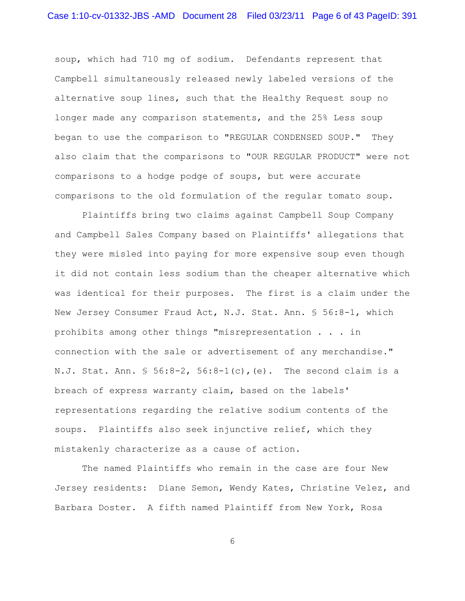soup, which had 710 mg of sodium. Defendants represent that Campbell simultaneously released newly labeled versions of the alternative soup lines, such that the Healthy Request soup no longer made any comparison statements, and the 25% Less soup began to use the comparison to "REGULAR CONDENSED SOUP." They also claim that the comparisons to "OUR REGULAR PRODUCT" were not comparisons to a hodge podge of soups, but were accurate comparisons to the old formulation of the regular tomato soup.

Plaintiffs bring two claims against Campbell Soup Company and Campbell Sales Company based on Plaintiffs' allegations that they were misled into paying for more expensive soup even though it did not contain less sodium than the cheaper alternative which was identical for their purposes. The first is a claim under the New Jersey Consumer Fraud Act, N.J. Stat. Ann. § 56:8-1, which prohibits among other things "misrepresentation . . . in connection with the sale or advertisement of any merchandise." N.J. Stat. Ann. § 56:8-2, 56:8-1(c),(e). The second claim is a breach of express warranty claim, based on the labels' representations regarding the relative sodium contents of the soups. Plaintiffs also seek injunctive relief, which they mistakenly characterize as a cause of action.

The named Plaintiffs who remain in the case are four New Jersey residents: Diane Semon, Wendy Kates, Christine Velez, and Barbara Doster. A fifth named Plaintiff from New York, Rosa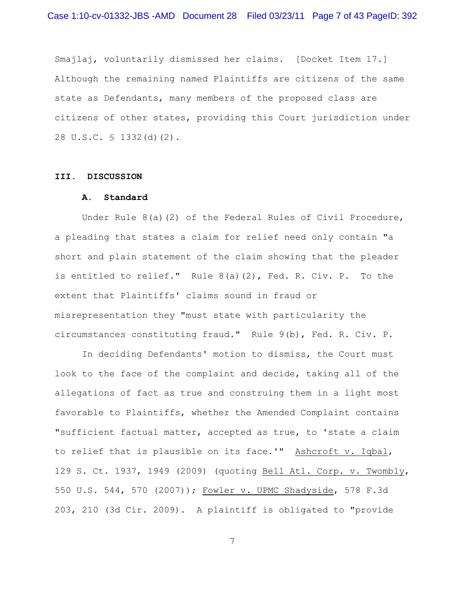Smajlaj, voluntarily dismissed her claims. [Docket Item 17.] Although the remaining named Plaintiffs are citizens of the same state as Defendants, many members of the proposed class are citizens of other states, providing this Court jurisdiction under 28 U.S.C. § 1332(d)(2).

#### **III. DISCUSSION**

## **A. Standard**

Under Rule  $8(a)(2)$  of the Federal Rules of Civil Procedure, a pleading that states a claim for relief need only contain "a short and plain statement of the claim showing that the pleader is entitled to relief." Rule 8(a)(2), Fed. R. Civ. P. To the extent that Plaintiffs' claims sound in fraud or misrepresentation they "must state with particularity the circumstances constituting fraud." Rule 9(b), Fed. R. Civ. P.

In deciding Defendants' motion to dismiss, the Court must look to the face of the complaint and decide, taking all of the allegations of fact as true and construing them in a light most favorable to Plaintiffs, whether the Amended Complaint contains "sufficient factual matter, accepted as true, to 'state a claim to relief that is plausible on its face.'" Ashcroft v. Iqbal, 129 S. Ct. 1937, 1949 (2009) (quoting Bell Atl. Corp. v. Twombly, 550 U.S. 544, 570 (2007)); Fowler v. UPMC Shadyside, 578 F.3d 203, 210 (3d Cir. 2009). A plaintiff is obligated to "provide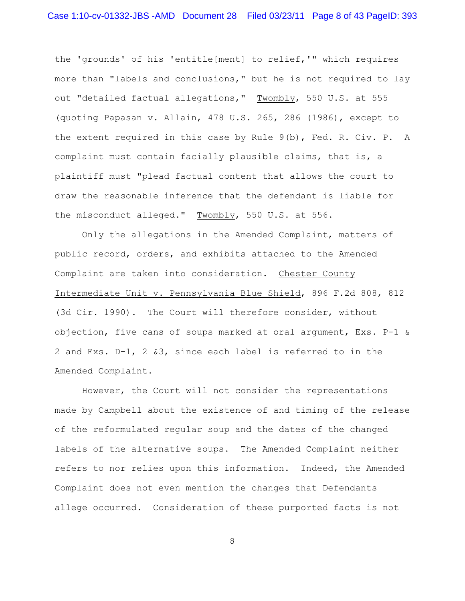the 'grounds' of his 'entitle[ment] to relief,'" which requires more than "labels and conclusions," but he is not required to lay out "detailed factual allegations," Twombly, 550 U.S. at 555 (quoting Papasan v. Allain, 478 U.S. 265, 286 (1986), except to the extent required in this case by Rule 9(b), Fed. R. Civ. P. A complaint must contain facially plausible claims, that is, a plaintiff must "plead factual content that allows the court to draw the reasonable inference that the defendant is liable for the misconduct alleged." Twombly, 550 U.S. at 556.

Only the allegations in the Amended Complaint, matters of public record, orders, and exhibits attached to the Amended Complaint are taken into consideration. Chester County Intermediate Unit v. Pennsylvania Blue Shield, 896 F.2d 808, 812 (3d Cir. 1990). The Court will therefore consider, without objection, five cans of soups marked at oral argument, Exs. P-1 & 2 and Exs. D-1, 2 &3, since each label is referred to in the Amended Complaint.

However, the Court will not consider the representations made by Campbell about the existence of and timing of the release of the reformulated regular soup and the dates of the changed labels of the alternative soups. The Amended Complaint neither refers to nor relies upon this information. Indeed, the Amended Complaint does not even mention the changes that Defendants allege occurred. Consideration of these purported facts is not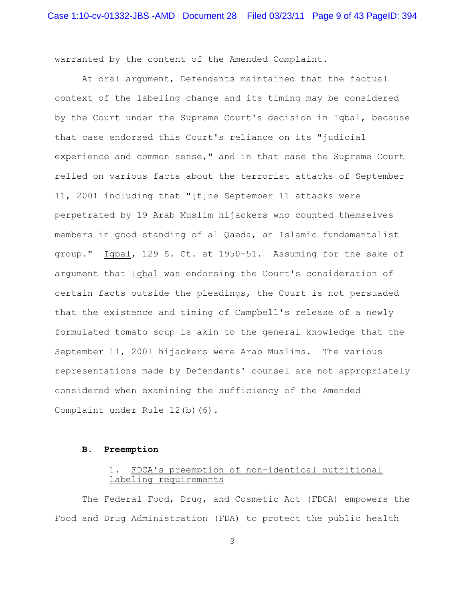warranted by the content of the Amended Complaint.

At oral argument, Defendants maintained that the factual context of the labeling change and its timing may be considered by the Court under the Supreme Court's decision in Iqbal, because that case endorsed this Court's reliance on its "judicial experience and common sense," and in that case the Supreme Court relied on various facts about the terrorist attacks of September 11, 2001 including that "[t]he September 11 attacks were perpetrated by 19 Arab Muslim hijackers who counted themselves members in good standing of al Qaeda, an Islamic fundamentalist group." Iqbal, 129 S. Ct. at 1950-51. Assuming for the sake of argument that Iqbal was endorsing the Court's consideration of certain facts outside the pleadings, the Court is not persuaded that the existence and timing of Campbell's release of a newly formulated tomato soup is akin to the general knowledge that the September 11, 2001 hijackers were Arab Muslims. The various representations made by Defendants' counsel are not appropriately considered when examining the sufficiency of the Amended Complaint under Rule 12(b)(6).

### **B. Preemption**

# 1. FDCA's preemption of non-identical nutritional labeling requirements

The Federal Food, Drug, and Cosmetic Act (FDCA) empowers the Food and Drug Administration (FDA) to protect the public health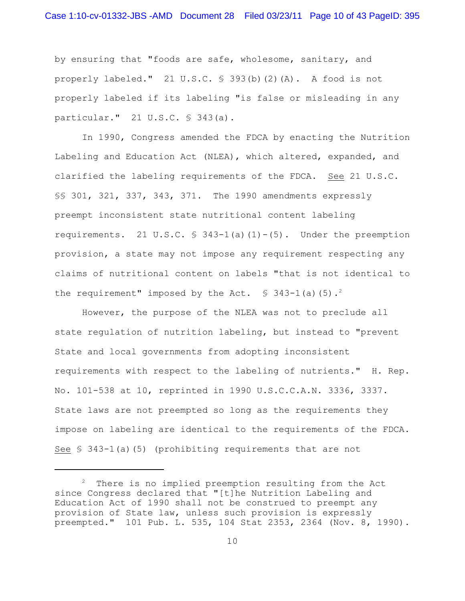by ensuring that "foods are safe, wholesome, sanitary, and properly labeled." 21 U.S.C. § 393(b)(2)(A). A food is not properly labeled if its labeling "is false or misleading in any particular." 21 U.S.C. § 343(a).

In 1990, Congress amended the FDCA by enacting the Nutrition Labeling and Education Act (NLEA), which altered, expanded, and clarified the labeling requirements of the FDCA. See 21 U.S.C. §§ 301, 321, 337, 343, 371. The 1990 amendments expressly preempt inconsistent state nutritional content labeling requirements. 21 U.S.C.  $\frac{1}{2}$  343-1(a)(1)-(5). Under the preemption provision, a state may not impose any requirement respecting any claims of nutritional content on labels "that is not identical to the requirement" imposed by the Act.  $\text{\$ } 343-1$  (a) (5).<sup>2</sup>

However, the purpose of the NLEA was not to preclude all state regulation of nutrition labeling, but instead to "prevent State and local governments from adopting inconsistent requirements with respect to the labeling of nutrients." H. Rep. No. 101-538 at 10, reprinted in 1990 U.S.C.C.A.N. 3336, 3337. State laws are not preempted so long as the requirements they impose on labeling are identical to the requirements of the FDCA. See  $\frac{1}{343-1(a)}$  (5) (prohibiting requirements that are not

 $2$  There is no implied preemption resulting from the Act since Congress declared that "[t]he Nutrition Labeling and Education Act of 1990 shall not be construed to preempt any provision of State law, unless such provision is expressly preempted." 101 Pub. L. 535, 104 Stat 2353, 2364 (Nov. 8, 1990).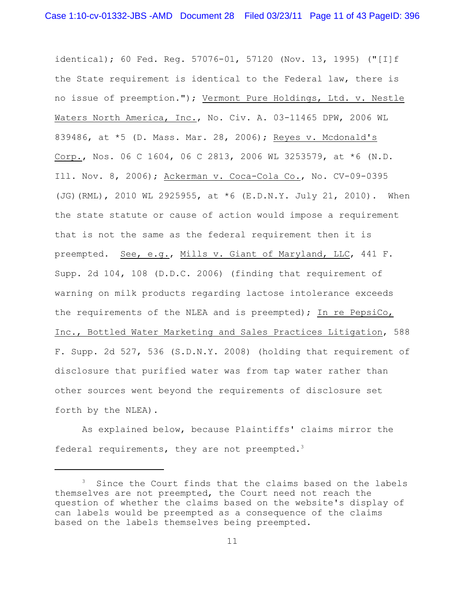identical); 60 Fed. Reg. 57076-01, 57120 (Nov. 13, 1995) ("[I]f the State requirement is identical to the Federal law, there is no issue of preemption."); Vermont Pure Holdings, Ltd. v. Nestle Waters North America, Inc., No. Civ. A. 03-11465 DPW, 2006 WL 839486, at \*5 (D. Mass. Mar. 28, 2006); Reyes v. Mcdonald's Corp., Nos. 06 C 1604, 06 C 2813, 2006 WL 3253579, at \*6 (N.D. Ill. Nov. 8, 2006); Ackerman v. Coca-Cola Co., No. CV-09-0395 (JG)(RML), 2010 WL 2925955, at \*6 (E.D.N.Y. July 21, 2010). When the state statute or cause of action would impose a requirement that is not the same as the federal requirement then it is preempted. See, e.g., Mills v. Giant of Maryland, LLC, 441 F. Supp. 2d 104, 108 (D.D.C. 2006) (finding that requirement of warning on milk products regarding lactose intolerance exceeds the requirements of the NLEA and is preempted); In re PepsiCo, Inc., Bottled Water Marketing and Sales Practices Litigation, 588 F. Supp. 2d 527, 536 (S.D.N.Y. 2008) (holding that requirement of disclosure that purified water was from tap water rather than other sources went beyond the requirements of disclosure set forth by the NLEA).

As explained below, because Plaintiffs' claims mirror the federal requirements, they are not preempted. $3$ 

 $3$  Since the Court finds that the claims based on the labels themselves are not preempted, the Court need not reach the question of whether the claims based on the website's display of can labels would be preempted as a consequence of the claims based on the labels themselves being preempted.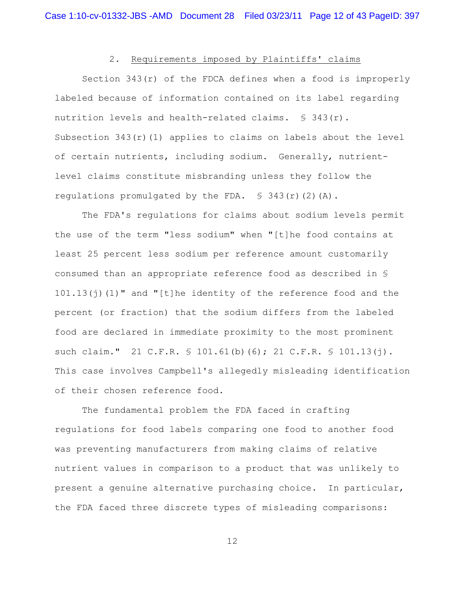# 2. Requirements imposed by Plaintiffs' claims

Section  $343(r)$  of the FDCA defines when a food is improperly labeled because of information contained on its label regarding nutrition levels and health-related claims.  $\S$  343(r). Subsection  $343(r)(1)$  applies to claims on labels about the level of certain nutrients, including sodium. Generally, nutrientlevel claims constitute misbranding unless they follow the regulations promulgated by the FDA.  $\$$  343(r)(2)(A).

The FDA's regulations for claims about sodium levels permit the use of the term "less sodium" when "[t]he food contains at least 25 percent less sodium per reference amount customarily consumed than an appropriate reference food as described in § 101.13(j)(1)" and "[t]he identity of the reference food and the percent (or fraction) that the sodium differs from the labeled food are declared in immediate proximity to the most prominent such claim." 21 C.F.R. § 101.61(b)(6); 21 C.F.R. § 101.13(j). This case involves Campbell's allegedly misleading identification of their chosen reference food.

The fundamental problem the FDA faced in crafting regulations for food labels comparing one food to another food was preventing manufacturers from making claims of relative nutrient values in comparison to a product that was unlikely to present a genuine alternative purchasing choice. In particular, the FDA faced three discrete types of misleading comparisons: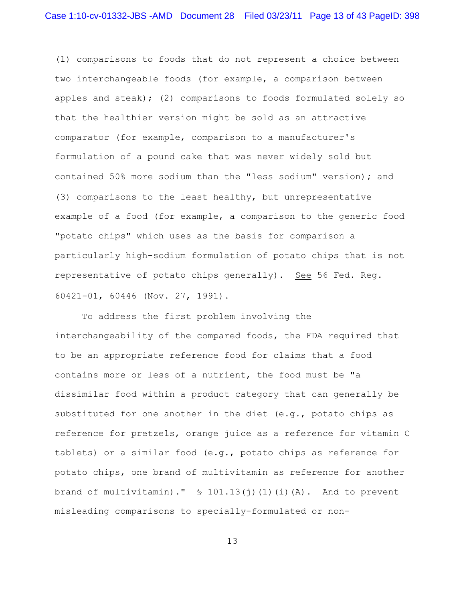(1) comparisons to foods that do not represent a choice between two interchangeable foods (for example, a comparison between apples and steak); (2) comparisons to foods formulated solely so that the healthier version might be sold as an attractive comparator (for example, comparison to a manufacturer's formulation of a pound cake that was never widely sold but contained 50% more sodium than the "less sodium" version)**;** and (3) comparisons to the least healthy, but unrepresentative example of a food (for example, a comparison to the generic food "potato chips" which uses as the basis for comparison a particularly high-sodium formulation of potato chips that is not representative of potato chips generally)**.** See 56 Fed. Reg. 60421-01, 60446 (Nov. 27, 1991).

To address the first problem involving the interchangeability of the compared foods, the FDA required that to be an appropriate reference food for claims that a food contains more or less of a nutrient, the food must be "a dissimilar food within a product category that can generally be substituted for one another in the diet (e.g., potato chips as reference for pretzels, orange juice as a reference for vitamin C tablets) or a similar food (e.g., potato chips as reference for potato chips, one brand of multivitamin as reference for another brand of multivitamin)."  $\frac{1}{2}$  101.13(j)(1)(i)(A). And to prevent misleading comparisons to specially-formulated or non-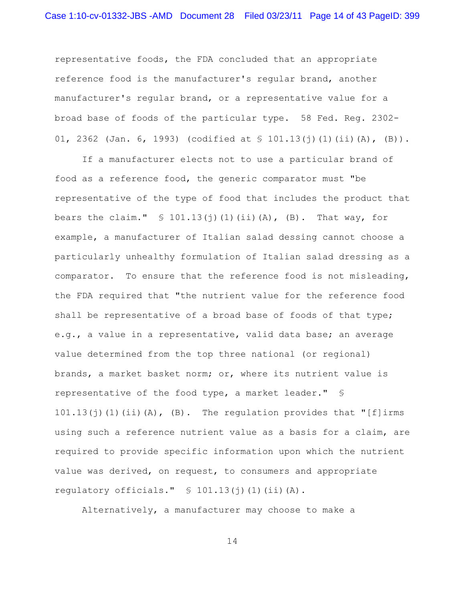representative foods, the FDA concluded that an appropriate reference food is the manufacturer's regular brand, another manufacturer's regular brand, or a representative value for a broad base of foods of the particular type. 58 Fed. Reg. 2302- 01, 2362 (Jan. 6, 1993) (codified at § 101.13(j)(1)(ii)(A), (B))**.**

If a manufacturer elects not to use a particular brand of food as a reference food, the generic comparator must "be representative of the type of food that includes the product that bears the claim."  $\frac{1}{2}$  101.13(j)(1)(ii)(A), (B). That way, for example, a manufacturer of Italian salad dessing cannot choose a particularly unhealthy formulation of Italian salad dressing as a comparator. To ensure that the reference food is not misleading, the FDA required that "the nutrient value for the reference food shall be representative of a broad base of foods of that type; e.g., a value in a representative, valid data base; an average value determined from the top three national (or regional) brands, a market basket norm; or, where its nutrient value is representative of the food type, a market leader." § 101.13(j)(1)(ii)(A),(B). The regulation provides that "[f]irms using such a reference nutrient value as a basis for a claim, are required to provide specific information upon which the nutrient value was derived, on request, to consumers and appropriate regulatory officials."  $\S$  101.13(j)(1)(ii)(A).

Alternatively, a manufacturer may choose to make a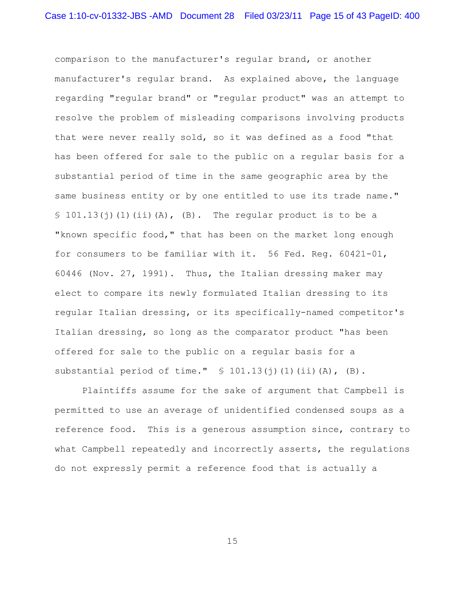comparison to the manufacturer's regular brand, or another manufacturer's regular brand. As explained above, the language regarding "regular brand" or "regular product" was an attempt to resolve the problem of misleading comparisons involving products that were never really sold, so it was defined as a food "that has been offered for sale to the public on a regular basis for a substantial period of time in the same geographic area by the same business entity or by one entitled to use its trade name."  $\S$  101.13(j)(1)(ii)(A),(B). The regular product is to be a "known specific food," that has been on the market long enough for consumers to be familiar with it. 56 Fed. Reg. 60421-01, 60446 (Nov. 27, 1991). Thus, the Italian dressing maker may elect to compare its newly formulated Italian dressing to its regular Italian dressing, or its specifically-named competitor's Italian dressing, so long as the comparator product "has been offered for sale to the public on a regular basis for a substantial period of time."  $\S$  101.13(j)(1)(ii)(A),(B).

Plaintiffs assume for the sake of argument that Campbell is permitted to use an average of unidentified condensed soups as a reference food. This is a generous assumption since, contrary to what Campbell repeatedly and incorrectly asserts, the regulations do not expressly permit a reference food that is actually a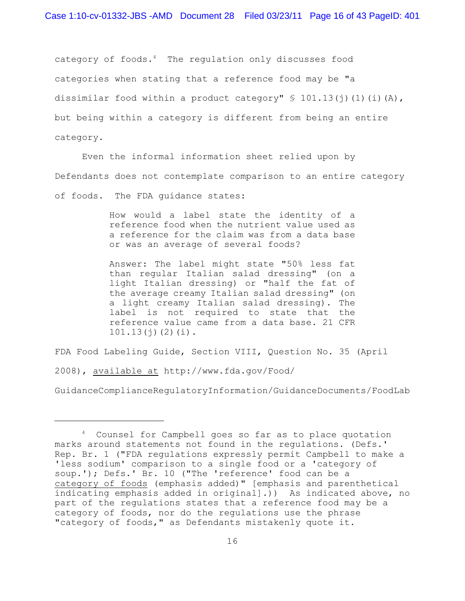category of foods. $4$  The regulation only discusses food categories when stating that a reference food may be "a dissimilar food within a product category"  $\frac{1}{2}$  101.13(j)(1)(i)(A), but being within a category is different from being an entire category.

Even the informal information sheet relied upon by Defendants does not contemplate comparison to an entire category of foods. The FDA guidance states:

> How would a label state the identity of a reference food when the nutrient value used as a reference for the claim was from a data base or was an average of several foods?

> Answer: The label might state "50% less fat than regular Italian salad dressing" (on a light Italian dressing) or "half the fat of the average creamy Italian salad dressing" (on a light creamy Italian salad dressing). The label is not required to state that the reference value came from a data base. 21 CFR  $101.13(i)(2)(i)$ .

FDA Food Labeling Guide, Section VIII, Question No. 35 (April

2008), available at http://www.fda.gov/Food/

GuidanceComplianceRegulatoryInformation/GuidanceDocuments/FoodLab

<sup>&</sup>lt;sup>4</sup> Counsel for Campbell goes so far as to place quotation marks around statements not found in the regulations. (Defs.' Rep. Br. 1 ("FDA regulations expressly permit Campbell to make a 'less sodium' comparison to a single food or a 'category of soup.'); Defs.' Br. 10 ("The 'reference' food can be a category of foods (emphasis added)" [emphasis and parenthetical indicating emphasis added in original].)) As indicated above, no part of the regulations states that a reference food may be a category of foods, nor do the regulations use the phrase "category of foods," as Defendants mistakenly quote it.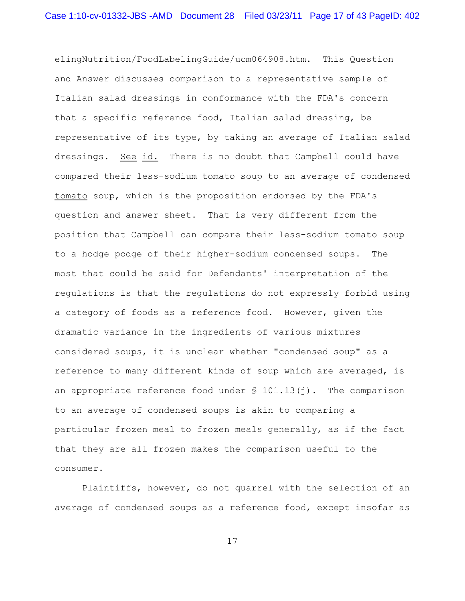elingNutrition/FoodLabelingGuide/ucm064908.htm. This Question and Answer discusses comparison to a representative sample of Italian salad dressings in conformance with the FDA's concern that a specific reference food, Italian salad dressing, be representative of its type, by taking an average of Italian salad dressings. See id. There is no doubt that Campbell could have compared their less-sodium tomato soup to an average of condensed tomato soup, which is the proposition endorsed by the FDA's question and answer sheet. That is very different from the position that Campbell can compare their less-sodium tomato soup to a hodge podge of their higher-sodium condensed soups. The most that could be said for Defendants' interpretation of the regulations is that the regulations do not expressly forbid using a category of foods as a reference food. However, given the dramatic variance in the ingredients of various mixtures considered soups, it is unclear whether "condensed soup" as a reference to many different kinds of soup which are averaged, is an appropriate reference food under  $\frac{1}{2}$  101.13(j). The comparison to an average of condensed soups is akin to comparing a particular frozen meal to frozen meals generally, as if the fact that they are all frozen makes the comparison useful to the consumer.

Plaintiffs, however, do not quarrel with the selection of an average of condensed soups as a reference food, except insofar as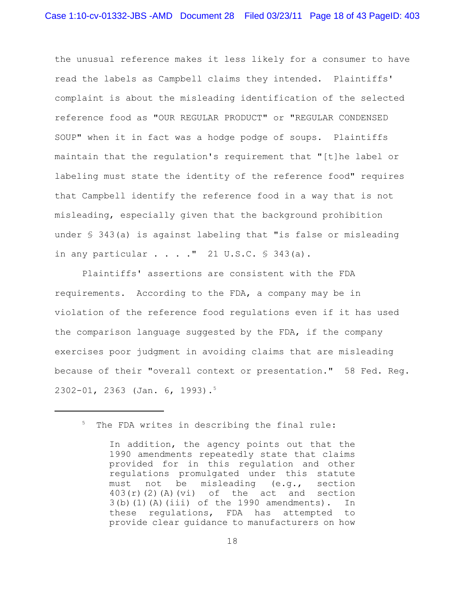the unusual reference makes it less likely for a consumer to have read the labels as Campbell claims they intended. Plaintiffs' complaint is about the misleading identification of the selected reference food as "OUR REGULAR PRODUCT" or "REGULAR CONDENSED SOUP" when it in fact was a hodge podge of soups. Plaintiffs maintain that the regulation's requirement that "[t]he label or labeling must state the identity of the reference food" requires that Campbell identify the reference food in a way that is not misleading, especially given that the background prohibition under § 343(a) is against labeling that "is false or misleading in any particular  $\ldots$  ." 21 U.S.C.  $\frac{1}{5}$  343(a).

Plaintiffs' assertions are consistent with the FDA requirements. According to the FDA, a company may be in violation of the reference food regulations even if it has used the comparison language suggested by the FDA, if the company exercises poor judgment in avoiding claims that are misleading because of their "overall context or presentation." 58 Fed. Reg. 2302-01, 2363 (Jan. 6, 1993).<sup>5</sup>

 $5$  The FDA writes in describing the final rule:

In addition, the agency points out that the 1990 amendments repeatedly state that claims provided for in this regulation and other regulations promulgated under this statute must not be misleading (e.g., section  $403(r)(2)(A)(vi)$  of the act and section 3(b)(1)(A)(iii) of the 1990 amendments). In these regulations, FDA has attempted to provide clear guidance to manufacturers on how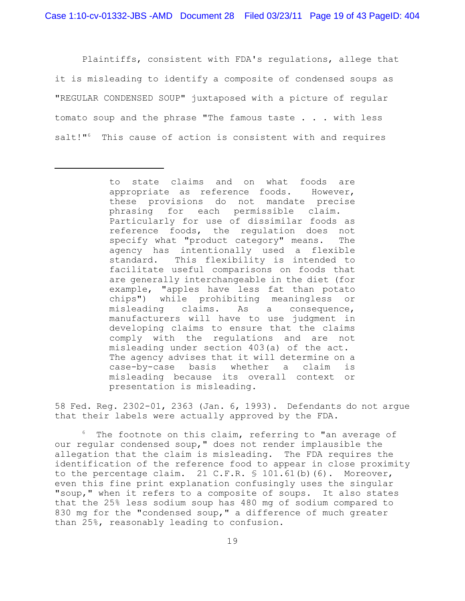Plaintiffs, consistent with FDA's regulations, allege that it is misleading to identify a composite of condensed soups as "REGULAR CONDENSED SOUP" juxtaposed with a picture of regular tomato soup and the phrase "The famous taste . . . with less salt!" $6$  This cause of action is consistent with and requires

58 Fed. Reg. 2302-01, 2363 (Jan. 6, 1993). Defendants do not argue that their labels were actually approved by the FDA.

 $6$  The footnote on this claim, referring to "an average of our regular condensed soup," does not render implausible the allegation that the claim is misleading. The FDA requires the identification of the reference food to appear in close proximity to the percentage claim. 21 C.F.R.  $\frac{1}{5}$  101.61(b)(6). Moreover, even this fine print explanation confusingly uses the singular "soup," when it refers to a composite of soups. It also states that the 25% less sodium soup has 480 mg of sodium compared to 830 mg for the "condensed soup," a difference of much greater than 25%, reasonably leading to confusion.

to state claims and on what foods are appropriate as reference foods. However, these provisions do not mandate precise phrasing for each permissible claim. Particularly for use of dissimilar foods as reference foods, the regulation does not specify what "product category" means. The agency has intentionally used a flexible standard. This flexibility is intended to facilitate useful comparisons on foods that are generally interchangeable in the diet (for example, "apples have less fat than potato chips") while prohibiting meaningless or misleading claims. As a consequence, manufacturers will have to use judgment in developing claims to ensure that the claims comply with the regulations and are not misleading under section 403(a) of the act. The agency advises that it will determine on a case-by-case basis whether a claim is misleading because its overall context or presentation is misleading.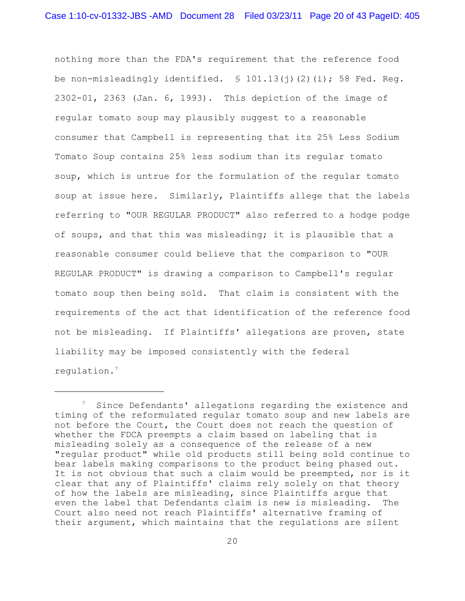nothing more than the FDA's requirement that the reference food be non-misleadingly identified.  $\text{\$ }101.13\text{\textup{(i)}}\text{\textup{(2)}}\text{\textup{(i)}}$ ; 58 Fed. Req. 2302-01, 2363 (Jan. 6, 1993). This depiction of the image of regular tomato soup may plausibly suggest to a reasonable consumer that Campbell is representing that its 25% Less Sodium Tomato Soup contains 25% less sodium than its regular tomato soup, which is untrue for the formulation of the regular tomato soup at issue here. Similarly, Plaintiffs allege that the labels referring to "OUR REGULAR PRODUCT" also referred to a hodge podge of soups, and that this was misleading; it is plausible that a reasonable consumer could believe that the comparison to "OUR REGULAR PRODUCT" is drawing a comparison to Campbell's regular tomato soup then being sold. That claim is consistent with the requirements of the act that identification of the reference food not be misleading. If Plaintiffs' allegations are proven, state liability may be imposed consistently with the federal regulation. 7

 $\frac{7}{7}$  Since Defendants' allegations regarding the existence and timing of the reformulated regular tomato soup and new labels are not before the Court, the Court does not reach the question of whether the FDCA preempts a claim based on labeling that is misleading solely as a consequence of the release of a new "regular product" while old products still being sold continue to bear labels making comparisons to the product being phased out. It is not obvious that such a claim would be preempted, nor is it clear that any of Plaintiffs' claims rely solely on that theory of how the labels are misleading, since Plaintiffs argue that even the label that Defendants claim is new is misleading. The Court also need not reach Plaintiffs' alternative framing of their argument, which maintains that the regulations are silent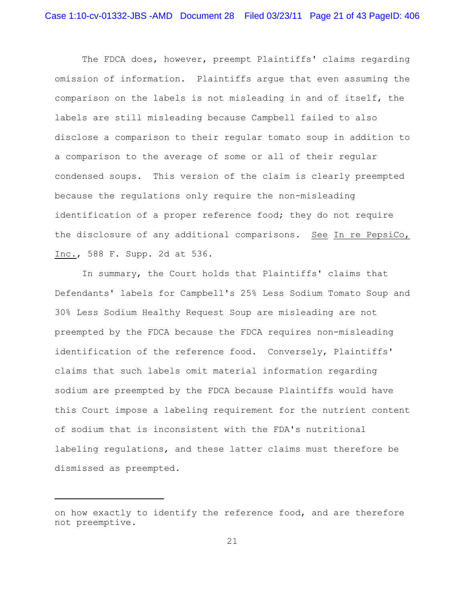The FDCA does, however, preempt Plaintiffs' claims regarding omission of information. Plaintiffs argue that even assuming the comparison on the labels is not misleading in and of itself, the labels are still misleading because Campbell failed to also disclose a comparison to their regular tomato soup in addition to a comparison to the average of some or all of their regular condensed soups. This version of the claim is clearly preempted because the regulations only require the non-misleading identification of a proper reference food; they do not require the disclosure of any additional comparisons. See In re PepsiCo, Inc., 588 F. Supp. 2d at 536.

In summary, the Court holds that Plaintiffs' claims that Defendants' labels for Campbell's 25% Less Sodium Tomato Soup and 30% Less Sodium Healthy Request Soup are misleading are not preempted by the FDCA because the FDCA requires non-misleading identification of the reference food. Conversely, Plaintiffs' claims that such labels omit material information regarding sodium are preempted by the FDCA because Plaintiffs would have this Court impose a labeling requirement for the nutrient content of sodium that is inconsistent with the FDA's nutritional labeling regulations, and these latter claims must therefore be dismissed as preempted.

on how exactly to identify the reference food, and are therefore not preemptive.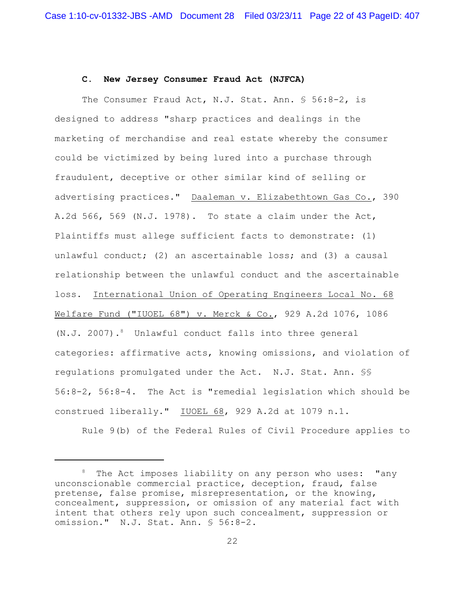## **C. New Jersey Consumer Fraud Act (NJFCA)**

The Consumer Fraud Act, N.J. Stat. Ann. § 56:8-2, is designed to address "sharp practices and dealings in the marketing of merchandise and real estate whereby the consumer could be victimized by being lured into a purchase through fraudulent, deceptive or other similar kind of selling or advertising practices." Daaleman v. Elizabethtown Gas Co., 390 A.2d 566, 569 (N.J. 1978). To state a claim under the Act, Plaintiffs must allege sufficient facts to demonstrate: (1) unlawful conduct; (2) an ascertainable loss; and (3) a causal relationship between the unlawful conduct and the ascertainable loss. International Union of Operating Engineers Local No. 68 Welfare Fund ("IUOEL 68") v. Merck & Co., 929 A.2d 1076, 1086 (N.J. 2007). $8$  Unlawful conduct falls into three general categories: affirmative acts, knowing omissions, and violation of regulations promulgated under the Act. N.J. Stat. Ann. §§ 56:8-2, 56:8-4. The Act is "remedial legislation which should be construed liberally." IUOEL 68, 929 A.2d at 1079 n.1.

Rule 9(b) of the Federal Rules of Civil Procedure applies to

 $8$  The Act imposes liability on any person who uses: "any unconscionable commercial practice, deception, fraud, false pretense, false promise, misrepresentation, or the knowing, concealment, suppression, or omission of any material fact with intent that others rely upon such concealment, suppression or omission." N.J. Stat. Ann. § 56:8-2.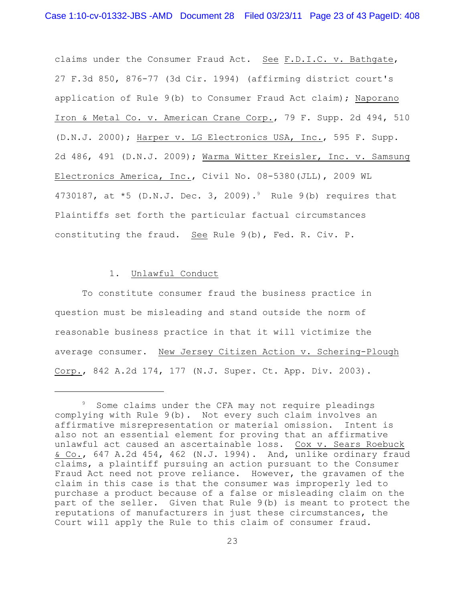claims under the Consumer Fraud Act. See F.D.I.C. v. Bathgate, 27 F.3d 850, 876-77 (3d Cir. 1994) (affirming district court's application of Rule 9(b) to Consumer Fraud Act claim); Naporano Iron & Metal Co. v. American Crane Corp., 79 F. Supp. 2d 494, 510 (D.N.J. 2000); Harper v. LG Electronics USA, Inc., 595 F. Supp. 2d 486, 491 (D.N.J. 2009); Warma Witter Kreisler, Inc. v. Samsung Electronics America, Inc., Civil No. 08-5380(JLL), 2009 WL 4730187, at  $*5$  (D.N.J. Dec. 3, 2009).<sup>9</sup> Rule 9(b) requires that Plaintiffs set forth the particular factual circumstances constituting the fraud. See Rule 9(b), Fed. R. Civ. P.

# 1. Unlawful Conduct

To constitute consumer fraud the business practice in question must be misleading and stand outside the norm of reasonable business practice in that it will victimize the average consumer. New Jersey Citizen Action v. Schering-Plough Corp., 842 A.2d 174, 177 (N.J. Super. Ct. App. Div. 2003).

<sup>&</sup>lt;sup>9</sup> Some claims under the CFA may not require pleadings complying with Rule 9(b). Not every such claim involves an affirmative misrepresentation or material omission. Intent is also not an essential element for proving that an affirmative unlawful act caused an ascertainable loss. Cox v. Sears Roebuck & Co., 647 A.2d 454, 462 (N.J. 1994). And, unlike ordinary fraud claims, a plaintiff pursuing an action pursuant to the Consumer Fraud Act need not prove reliance. However, the gravamen of the claim in this case is that the consumer was improperly led to purchase a product because of a false or misleading claim on the part of the seller. Given that Rule 9(b) is meant to protect the reputations of manufacturers in just these circumstances, the Court will apply the Rule to this claim of consumer fraud.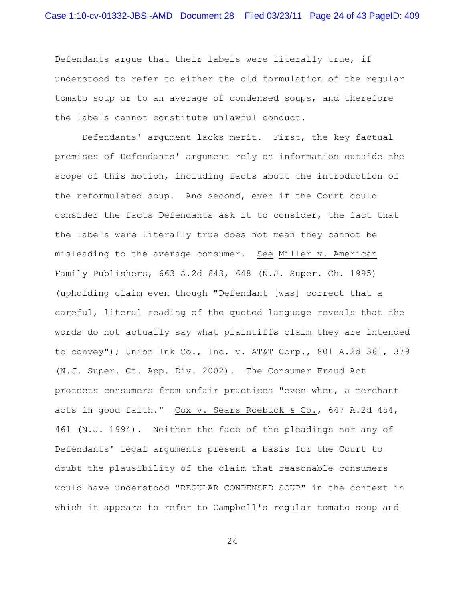Defendants argue that their labels were literally true, if understood to refer to either the old formulation of the regular tomato soup or to an average of condensed soups, and therefore the labels cannot constitute unlawful conduct.

Defendants' argument lacks merit. First, the key factual premises of Defendants' argument rely on information outside the scope of this motion, including facts about the introduction of the reformulated soup. And second, even if the Court could consider the facts Defendants ask it to consider, the fact that the labels were literally true does not mean they cannot be misleading to the average consumer. See Miller v. American Family Publishers, 663 A.2d 643, 648 (N.J. Super. Ch. 1995) (upholding claim even though "Defendant [was] correct that a careful, literal reading of the quoted language reveals that the words do not actually say what plaintiffs claim they are intended to convey"); Union Ink Co., Inc. v. AT&T Corp., 801 A.2d 361, 379 (N.J. Super. Ct. App. Div. 2002). The Consumer Fraud Act protects consumers from unfair practices "even when, a merchant acts in good faith." Cox v. Sears Roebuck & Co., 647 A.2d 454, 461 (N.J. 1994). Neither the face of the pleadings nor any of Defendants' legal arguments present a basis for the Court to doubt the plausibility of the claim that reasonable consumers would have understood "REGULAR CONDENSED SOUP" in the context in which it appears to refer to Campbell's regular tomato soup and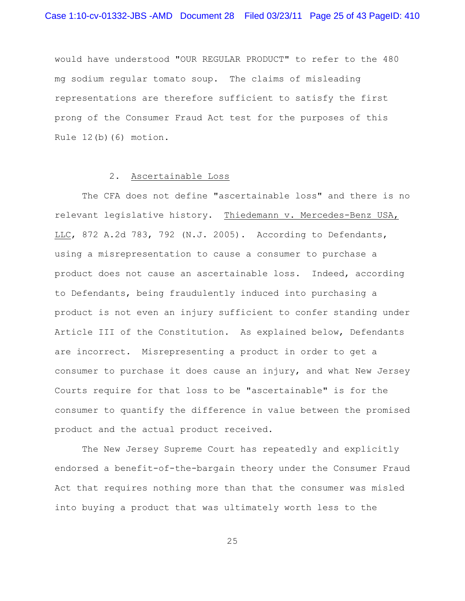would have understood "OUR REGULAR PRODUCT" to refer to the 480 mg sodium regular tomato soup. The claims of misleading representations are therefore sufficient to satisfy the first prong of the Consumer Fraud Act test for the purposes of this Rule 12(b)(6) motion.

### 2. Ascertainable Loss

The CFA does not define "ascertainable loss" and there is no relevant legislative history. Thiedemann v. Mercedes-Benz USA, LLC, 872 A.2d 783, 792 (N.J. 2005). According to Defendants, using a misrepresentation to cause a consumer to purchase a product does not cause an ascertainable loss. Indeed, according to Defendants, being fraudulently induced into purchasing a product is not even an injury sufficient to confer standing under Article III of the Constitution. As explained below, Defendants are incorrect. Misrepresenting a product in order to get a consumer to purchase it does cause an injury, and what New Jersey Courts require for that loss to be "ascertainable" is for the consumer to quantify the difference in value between the promised product and the actual product received.

The New Jersey Supreme Court has repeatedly and explicitly endorsed a benefit-of-the-bargain theory under the Consumer Fraud Act that requires nothing more than that the consumer was misled into buying a product that was ultimately worth less to the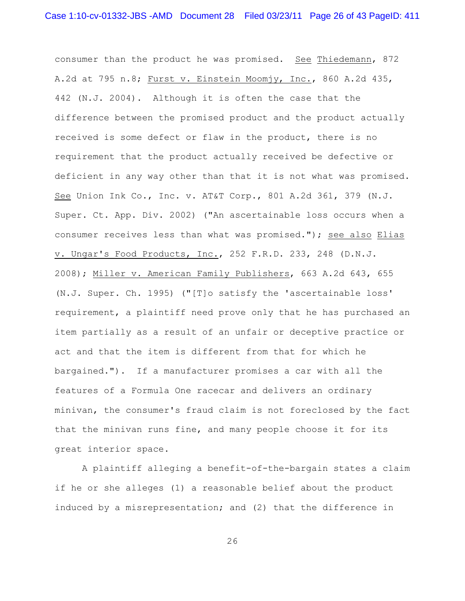consumer than the product he was promised. See Thiedemann, 872 A.2d at 795 n.8; Furst v. Einstein Moomjy, Inc., 860 A.2d 435, 442 (N.J. 2004). Although it is often the case that the difference between the promised product and the product actually received is some defect or flaw in the product, there is no requirement that the product actually received be defective or deficient in any way other than that it is not what was promised. See Union Ink Co., Inc. v. AT&T Corp., 801 A.2d 361, 379 (N.J. Super. Ct. App. Div. 2002) ("An ascertainable loss occurs when a consumer receives less than what was promised."); see also Elias v. Ungar's Food Products, Inc., 252 F.R.D. 233, 248 (D.N.J. 2008); Miller v. American Family Publishers, 663 A.2d 643, 655 (N.J. Super. Ch. 1995) ("[T]o satisfy the 'ascertainable loss' requirement, a plaintiff need prove only that he has purchased an item partially as a result of an unfair or deceptive practice or act and that the item is different from that for which he bargained."). If a manufacturer promises a car with all the features of a Formula One racecar and delivers an ordinary minivan, the consumer's fraud claim is not foreclosed by the fact that the minivan runs fine, and many people choose it for its great interior space.

A plaintiff alleging a benefit-of-the-bargain states a claim if he or she alleges (1) a reasonable belief about the product induced by a misrepresentation; and (2) that the difference in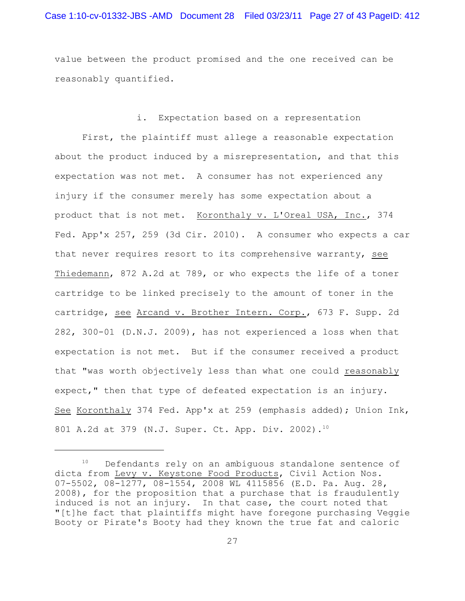value between the product promised and the one received can be reasonably quantified.

i. Expectation based on a representation First, the plaintiff must allege a reasonable expectation about the product induced by a misrepresentation, and that this expectation was not met. A consumer has not experienced any injury if the consumer merely has some expectation about a product that is not met. Koronthaly v. L'Oreal USA, Inc., 374 Fed. App'x 257, 259 (3d Cir. 2010). A consumer who expects a car that never requires resort to its comprehensive warranty, see Thiedemann, 872 A.2d at 789, or who expects the life of a toner cartridge to be linked precisely to the amount of toner in the cartridge, see Arcand v. Brother Intern. Corp., 673 F. Supp. 2d 282, 300-01 (D.N.J. 2009), has not experienced a loss when that expectation is not met. But if the consumer received a product that "was worth objectively less than what one could reasonably expect," then that type of defeated expectation is an injury. See Koronthaly 374 Fed. App'x at 259 (emphasis added); Union Ink, 801 A.2d at 379 (N.J. Super. Ct. App. Div. 2002). 10

 $10$  Defendants rely on an ambiguous standalone sentence of dicta from Levy v. Keystone Food Products, Civil Action Nos. 07-5502, 08-1277, 08-1554, 2008 WL 4115856 (E.D. Pa. Aug. 28, 2008), for the proposition that a purchase that is fraudulently induced is not an injury. In that case, the court noted that "[t]he fact that plaintiffs might have foregone purchasing Veggie Booty or Pirate's Booty had they known the true fat and caloric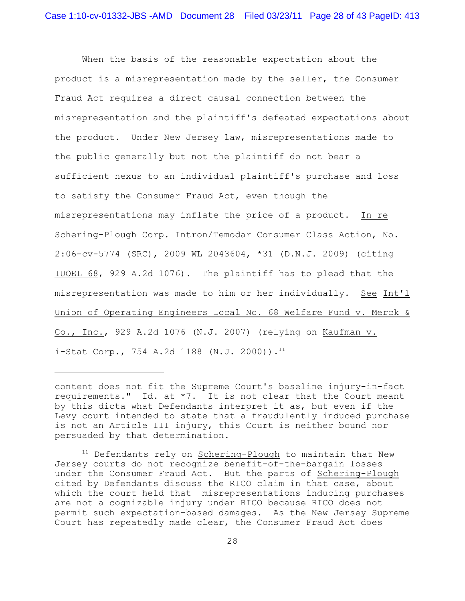When the basis of the reasonable expectation about the product is a misrepresentation made by the seller, the Consumer Fraud Act requires a direct causal connection between the misrepresentation and the plaintiff's defeated expectations about the product. Under New Jersey law, misrepresentations made to the public generally but not the plaintiff do not bear a sufficient nexus to an individual plaintiff's purchase and loss to satisfy the Consumer Fraud Act, even though the misrepresentations may inflate the price of a product. In re Schering-Plough Corp. Intron/Temodar Consumer Class Action, No. 2:06-cv-5774 (SRC), 2009 WL 2043604, \*31 (D.N.J. 2009) (citing IUOEL 68, 929 A.2d 1076). The plaintiff has to plead that the misrepresentation was made to him or her individually. See Int'l Union of Operating Engineers Local No. 68 Welfare Fund v. Merck & Co., Inc., 929 A.2d 1076 (N.J. 2007) (relying on Kaufman v.  $i-Stat Corp.$ , 754 A.2d 1188 (N.J. 2000)).<sup>11</sup>

content does not fit the Supreme Court's baseline injury-in-fact requirements." Id. at \*7. It is not clear that the Court meant by this dicta what Defendants interpret it as, but even if the Levy court intended to state that a fraudulently induced purchase is not an Article III injury, this Court is neither bound nor persuaded by that determination.

 $11$  Defendants rely on Schering-Plough to maintain that New Jersey courts do not recognize benefit-of-the-bargain losses under the Consumer Fraud Act. But the parts of Schering-Plough cited by Defendants discuss the RICO claim in that case, about which the court held that misrepresentations inducing purchases are not a cognizable injury under RICO because RICO does not permit such expectation-based damages. As the New Jersey Supreme Court has repeatedly made clear, the Consumer Fraud Act does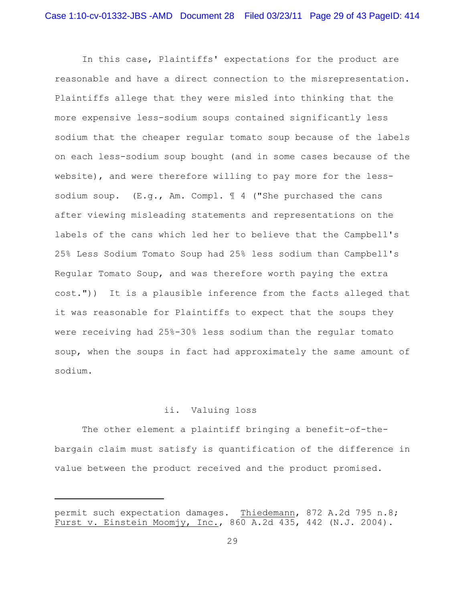In this case, Plaintiffs' expectations for the product are reasonable and have a direct connection to the misrepresentation. Plaintiffs allege that they were misled into thinking that the more expensive less-sodium soups contained significantly less sodium that the cheaper regular tomato soup because of the labels on each less-sodium soup bought (and in some cases because of the website), and were therefore willing to pay more for the lesssodium soup.  $(E,q, Am. Compl. \mathcal{I} 4$  ("She purchased the cans after viewing misleading statements and representations on the labels of the cans which led her to believe that the Campbell's 25% Less Sodium Tomato Soup had 25% less sodium than Campbell's Regular Tomato Soup, and was therefore worth paying the extra cost.")) It is a plausible inference from the facts alleged that it was reasonable for Plaintiffs to expect that the soups they were receiving had 25%-30% less sodium than the regular tomato soup, when the soups in fact had approximately the same amount of sodium.

# ii. Valuing loss

The other element a plaintiff bringing a benefit-of-thebargain claim must satisfy is quantification of the difference in value between the product received and the product promised.

permit such expectation damages. Thiedemann, 872 A.2d 795 n.8; Furst v. Einstein Moomjy, Inc., 860 A.2d 435, 442 (N.J. 2004).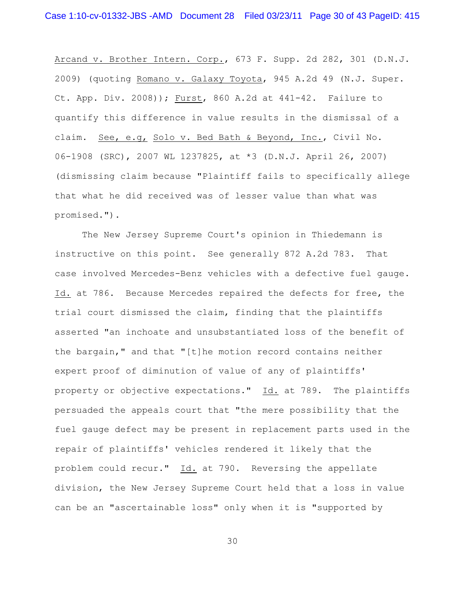Arcand v. Brother Intern. Corp., 673 F. Supp. 2d 282, 301 (D.N.J. 2009) (quoting Romano v. Galaxy Toyota, 945 A.2d 49 (N.J. Super. Ct. App. Div. 2008)); Furst, 860 A.2d at 441-42. Failure to quantify this difference in value results in the dismissal of a claim. See, e.g, Solo v. Bed Bath & Beyond, Inc., Civil No. 06-1908 (SRC), 2007 WL 1237825, at \*3 (D.N.J. April 26, 2007) (dismissing claim because "Plaintiff fails to specifically allege that what he did received was of lesser value than what was promised.").

The New Jersey Supreme Court's opinion in Thiedemann is instructive on this point. See generally 872 A.2d 783. That case involved Mercedes-Benz vehicles with a defective fuel gauge. Id. at 786. Because Mercedes repaired the defects for free, the trial court dismissed the claim, finding that the plaintiffs asserted "an inchoate and unsubstantiated loss of the benefit of the bargain," and that "[t]he motion record contains neither expert proof of diminution of value of any of plaintiffs' property or objective expectations." Id. at 789. The plaintiffs persuaded the appeals court that "the mere possibility that the fuel gauge defect may be present in replacement parts used in the repair of plaintiffs' vehicles rendered it likely that the problem could recur." Id. at 790. Reversing the appellate division, the New Jersey Supreme Court held that a loss in value can be an "ascertainable loss" only when it is "supported by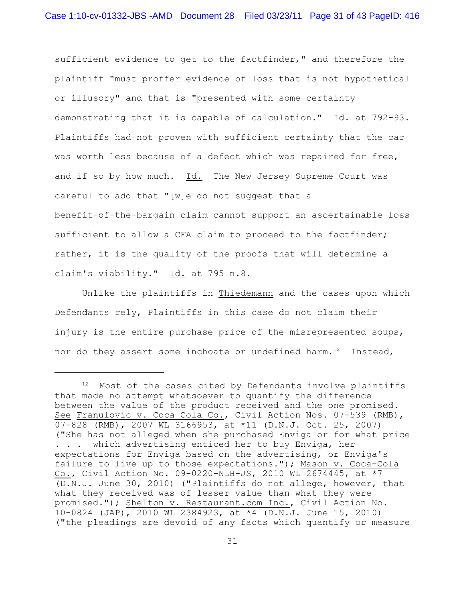sufficient evidence to get to the factfinder," and therefore the plaintiff "must proffer evidence of loss that is not hypothetical or illusory" and that is "presented with some certainty demonstrating that it is capable of calculation." Id. at 792-93. Plaintiffs had not proven with sufficient certainty that the car was worth less because of a defect which was repaired for free, and if so by how much. Id. The New Jersey Supreme Court was careful to add that "[w]e do not suggest that a benefit-of-the-bargain claim cannot support an ascertainable loss sufficient to allow a CFA claim to proceed to the factfinder; rather, it is the quality of the proofs that will determine a claim's viability." Id. at 795 n.8.

Unlike the plaintiffs in Thiedemann and the cases upon which Defendants rely, Plaintiffs in this case do not claim their injury is the entire purchase price of the misrepresented soups, nor do they assert some inchoate or undefined harm.<sup>12</sup> Instead,

 $12$  Most of the cases cited by Defendants involve plaintiffs that made no attempt whatsoever to quantify the difference between the value of the product received and the one promised. See Franulovic v. Coca Cola Co., Civil Action Nos. 07-539 (RMB), 07-828 (RMB), 2007 WL 3166953, at \*11 (D.N.J. Oct. 25, 2007) ("She has not alleged when she purchased Enviga or for what price . . . which advertising enticed her to buy Enviga, her expectations for Enviga based on the advertising, or Enviga's failure to live up to those expectations."); Mason v. Coca-Cola Co., Civil Action No. 09-0220-NLH-JS, 2010 WL 2674445, at \*7 (D.N.J. June 30, 2010) ("Plaintiffs do not allege, however, that what they received was of lesser value than what they were promised."); Shelton v. Restaurant.com Inc., Civil Action No. 10-0824 (JAP), 2010 WL 2384923, at \*4 (D.N.J. June 15, 2010) ("the pleadings are devoid of any facts which quantify or measure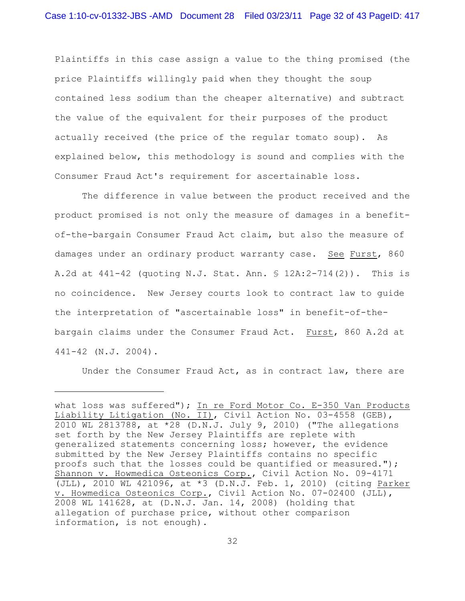Plaintiffs in this case assign a value to the thing promised (the price Plaintiffs willingly paid when they thought the soup contained less sodium than the cheaper alternative) and subtract the value of the equivalent for their purposes of the product actually received (the price of the regular tomato soup). As explained below, this methodology is sound and complies with the Consumer Fraud Act's requirement for ascertainable loss.

The difference in value between the product received and the product promised is not only the measure of damages in a benefitof-the-bargain Consumer Fraud Act claim, but also the measure of damages under an ordinary product warranty case. See Furst, 860 A.2d at 441-42 (quoting N.J. Stat. Ann. § 12A:2-714(2)). This is no coincidence. New Jersey courts look to contract law to guide the interpretation of "ascertainable loss" in benefit-of-thebargain claims under the Consumer Fraud Act. Furst, 860 A.2d at 441-42 (N.J. 2004).

Under the Consumer Fraud Act, as in contract law, there are

what loss was suffered"); In re Ford Motor Co. E-350 Van Products Liability Litigation (No. II), Civil Action No. 03-4558 (GEB), 2010 WL 2813788, at \*28 (D.N.J. July 9, 2010) ("The allegations set forth by the New Jersey Plaintiffs are replete with generalized statements concerning loss; however, the evidence submitted by the New Jersey Plaintiffs contains no specific proofs such that the losses could be quantified or measured."); Shannon v. Howmedica Osteonics Corp., Civil Action No. 09-4171 (JLL), 2010 WL 421096, at \*3 (D.N.J. Feb. 1, 2010) (citing Parker v. Howmedica Osteonics Corp., Civil Action No. 07-02400 (JLL), 2008 WL 141628, at (D.N.J. Jan. 14, 2008) (holding that allegation of purchase price, without other comparison information, is not enough).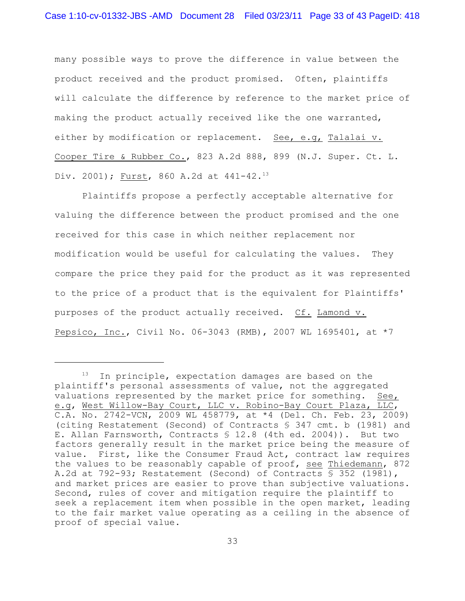many possible ways to prove the difference in value between the product received and the product promised. Often, plaintiffs will calculate the difference by reference to the market price of making the product actually received like the one warranted, either by modification or replacement. See, e.g, Talalai v. Cooper Tire & Rubber Co., 823 A.2d 888, 899 (N.J. Super. Ct. L. Div. 2001); <u>Furst</u>, 860 A.2d at 441-42.<sup>13</sup>

Plaintiffs propose a perfectly acceptable alternative for valuing the difference between the product promised and the one received for this case in which neither replacement nor modification would be useful for calculating the values. They compare the price they paid for the product as it was represented to the price of a product that is the equivalent for Plaintiffs' purposes of the product actually received. Cf. Lamond v. Pepsico, Inc., Civil No. 06-3043 (RMB), 2007 WL 1695401, at \*7

In principle, expectation damages are based on the plaintiff's personal assessments of value, not the aggregated valuations represented by the market price for something. See, e.g, West Willow-Bay Court, LLC v. Robino-Bay Court Plaza, LLC,  $\overline{C.A.}$  No. 2742-VCN, 2009 WL 458779, at \*4 (Del. Ch. Feb. 23, 2009) (citing Restatement (Second) of Contracts § 347 cmt. b (1981) and E. Allan Farnsworth, Contracts  $\S$  12.8 (4th ed. 2004)). But two factors generally result in the market price being the measure of value. First, like the Consumer Fraud Act, contract law requires the values to be reasonably capable of proof, see Thiedemann, 872 A.2d at 792-93; Restatement (Second) of Contracts § 352 (1981), and market prices are easier to prove than subjective valuations. Second, rules of cover and mitigation require the plaintiff to seek a replacement item when possible in the open market, leading to the fair market value operating as a ceiling in the absence of proof of special value.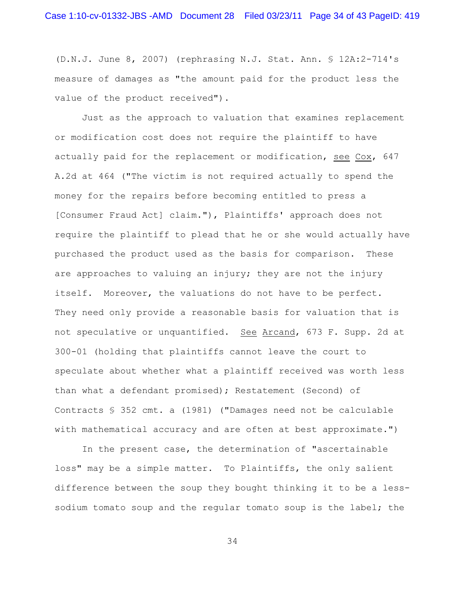(D.N.J. June 8, 2007) (rephrasing N.J. Stat. Ann. § 12A:2-714's measure of damages as "the amount paid for the product less the value of the product received").

Just as the approach to valuation that examines replacement or modification cost does not require the plaintiff to have actually paid for the replacement or modification, see Cox, 647 A.2d at 464 ("The victim is not required actually to spend the money for the repairs before becoming entitled to press a [Consumer Fraud Act] claim."), Plaintiffs' approach does not require the plaintiff to plead that he or she would actually have purchased the product used as the basis for comparison. These are approaches to valuing an injury; they are not the injury itself. Moreover, the valuations do not have to be perfect. They need only provide a reasonable basis for valuation that is not speculative or unquantified. See Arcand, 673 F. Supp. 2d at 300-01 (holding that plaintiffs cannot leave the court to speculate about whether what a plaintiff received was worth less than what a defendant promised); Restatement (Second) of Contracts § 352 cmt. a (1981) ("Damages need not be calculable with mathematical accuracy and are often at best approximate.")

In the present case, the determination of "ascertainable loss" may be a simple matter. To Plaintiffs, the only salient difference between the soup they bought thinking it to be a lesssodium tomato soup and the regular tomato soup is the label; the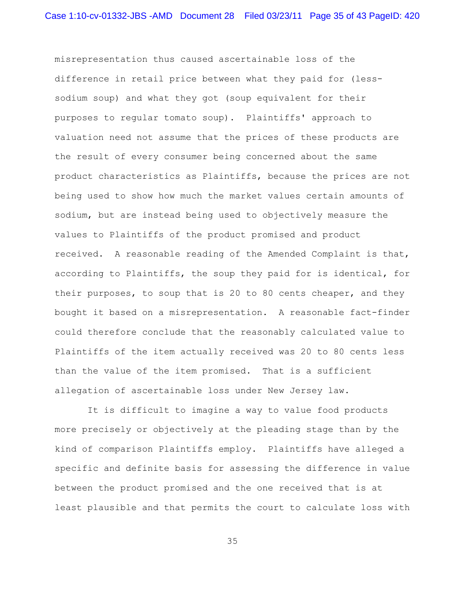misrepresentation thus caused ascertainable loss of the difference in retail price between what they paid for (lesssodium soup) and what they got (soup equivalent for their purposes to regular tomato soup). Plaintiffs' approach to valuation need not assume that the prices of these products are the result of every consumer being concerned about the same product characteristics as Plaintiffs, because the prices are not being used to show how much the market values certain amounts of sodium, but are instead being used to objectively measure the values to Plaintiffs of the product promised and product received. A reasonable reading of the Amended Complaint is that, according to Plaintiffs, the soup they paid for is identical, for their purposes, to soup that is 20 to 80 cents cheaper, and they bought it based on a misrepresentation. A reasonable fact-finder could therefore conclude that the reasonably calculated value to Plaintiffs of the item actually received was 20 to 80 cents less than the value of the item promised. That is a sufficient allegation of ascertainable loss under New Jersey law.

 It is difficult to imagine a way to value food products more precisely or objectively at the pleading stage than by the kind of comparison Plaintiffs employ. Plaintiffs have alleged a specific and definite basis for assessing the difference in value between the product promised and the one received that is at least plausible and that permits the court to calculate loss with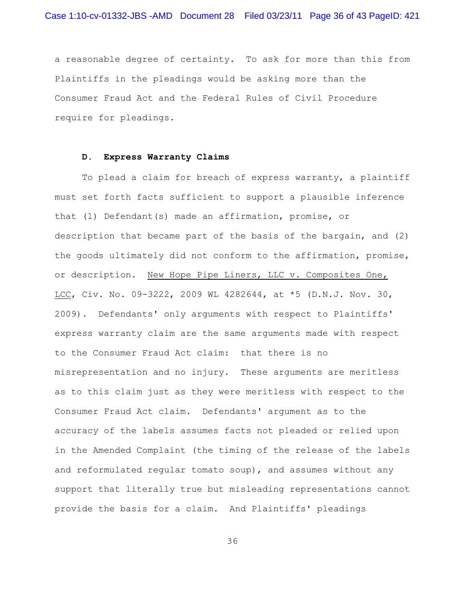a reasonable degree of certainty. To ask for more than this from Plaintiffs in the pleadings would be asking more than the Consumer Fraud Act and the Federal Rules of Civil Procedure require for pleadings.

### **D. Express Warranty Claims**

To plead a claim for breach of express warranty, a plaintiff must set forth facts sufficient to support a plausible inference that (1) Defendant(s) made an affirmation, promise, or description that became part of the basis of the bargain, and (2) the goods ultimately did not conform to the affirmation, promise, or description. New Hope Pipe Liners, LLC v. Composites One, LCC, Civ. No. 09-3222, 2009 WL 4282644, at \*5 (D.N.J. Nov. 30, 2009). Defendants' only arguments with respect to Plaintiffs' express warranty claim are the same arguments made with respect to the Consumer Fraud Act claim: that there is no misrepresentation and no injury. These arguments are meritless as to this claim just as they were meritless with respect to the Consumer Fraud Act claim. Defendants' argument as to the accuracy of the labels assumes facts not pleaded or relied upon in the Amended Complaint (the timing of the release of the labels and reformulated regular tomato soup), and assumes without any support that literally true but misleading representations cannot provide the basis for a claim. And Plaintiffs' pleadings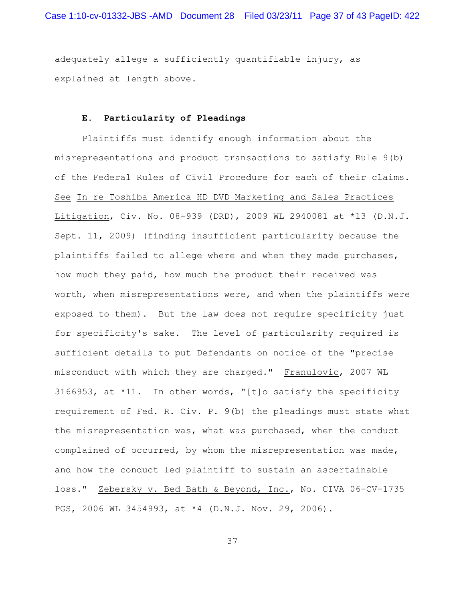adequately allege a sufficiently quantifiable injury, as explained at length above.

# **E. Particularity of Pleadings**

Plaintiffs must identify enough information about the misrepresentations and product transactions to satisfy Rule 9(b) of the Federal Rules of Civil Procedure for each of their claims. See In re Toshiba America HD DVD Marketing and Sales Practices Litigation, Civ. No. 08-939 (DRD), 2009 WL 2940081 at \*13 (D.N.J. Sept. 11, 2009) (finding insufficient particularity because the plaintiffs failed to allege where and when they made purchases, how much they paid, how much the product their received was worth, when misrepresentations were, and when the plaintiffs were exposed to them). But the law does not require specificity just for specificity's sake. The level of particularity required is sufficient details to put Defendants on notice of the "precise misconduct with which they are charged." Franulovic, 2007 WL 3166953, at \*11. In other words, "[t]o satisfy the specificity requirement of Fed. R. Civ. P. 9(b) the pleadings must state what the misrepresentation was, what was purchased, when the conduct complained of occurred, by whom the misrepresentation was made, and how the conduct led plaintiff to sustain an ascertainable loss." Zebersky v. Bed Bath & Beyond, Inc., No. CIVA 06-CV-1735 PGS, 2006 WL 3454993, at \*4 (D.N.J. Nov. 29, 2006).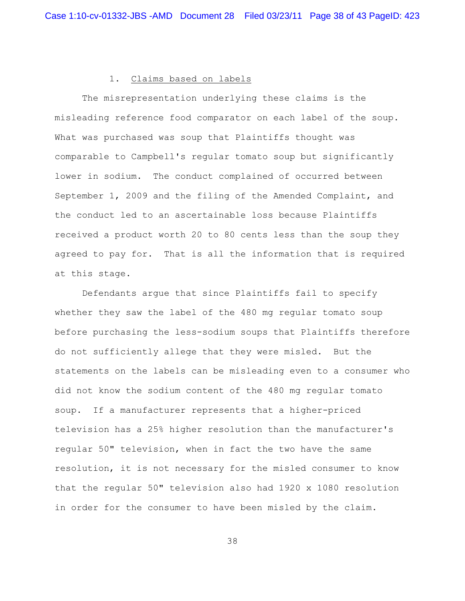### 1. Claims based on labels

The misrepresentation underlying these claims is the misleading reference food comparator on each label of the soup. What was purchased was soup that Plaintiffs thought was comparable to Campbell's regular tomato soup but significantly lower in sodium. The conduct complained of occurred between September 1, 2009 and the filing of the Amended Complaint, and the conduct led to an ascertainable loss because Plaintiffs received a product worth 20 to 80 cents less than the soup they agreed to pay for. That is all the information that is required at this stage.

Defendants argue that since Plaintiffs fail to specify whether they saw the label of the 480 mg regular tomato soup before purchasing the less-sodium soups that Plaintiffs therefore do not sufficiently allege that they were misled. But the statements on the labels can be misleading even to a consumer who did not know the sodium content of the 480 mg regular tomato soup. If a manufacturer represents that a higher-priced television has a 25% higher resolution than the manufacturer's regular 50" television, when in fact the two have the same resolution, it is not necessary for the misled consumer to know that the regular 50" television also had 1920 x 1080 resolution in order for the consumer to have been misled by the claim.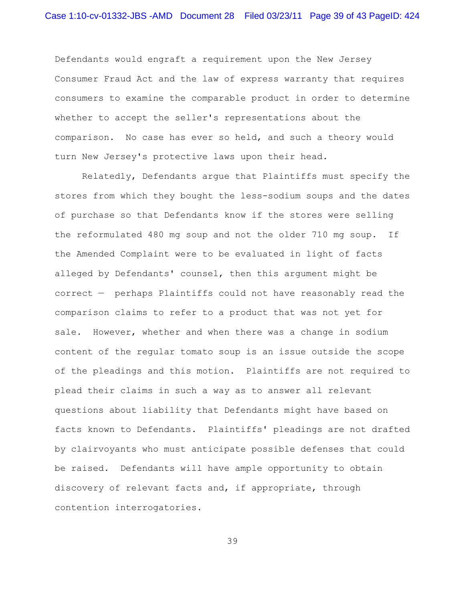Defendants would engraft a requirement upon the New Jersey Consumer Fraud Act and the law of express warranty that requires consumers to examine the comparable product in order to determine whether to accept the seller's representations about the comparison. No case has ever so held, and such a theory would turn New Jersey's protective laws upon their head.

Relatedly, Defendants argue that Plaintiffs must specify the stores from which they bought the less-sodium soups and the dates of purchase so that Defendants know if the stores were selling the reformulated 480 mg soup and not the older 710 mg soup. If the Amended Complaint were to be evaluated in light of facts alleged by Defendants' counsel, then this argument might be correct — perhaps Plaintiffs could not have reasonably read the comparison claims to refer to a product that was not yet for sale. However, whether and when there was a change in sodium content of the regular tomato soup is an issue outside the scope of the pleadings and this motion. Plaintiffs are not required to plead their claims in such a way as to answer all relevant questions about liability that Defendants might have based on facts known to Defendants. Plaintiffs' pleadings are not drafted by clairvoyants who must anticipate possible defenses that could be raised. Defendants will have ample opportunity to obtain discovery of relevant facts and, if appropriate, through contention interrogatories.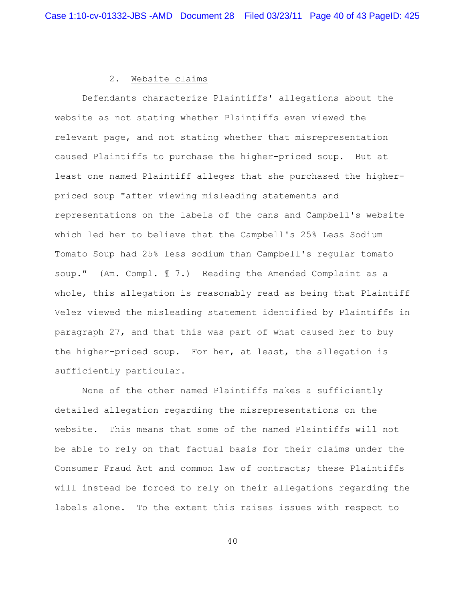## 2. Website claims

Defendants characterize Plaintiffs' allegations about the website as not stating whether Plaintiffs even viewed the relevant page, and not stating whether that misrepresentation caused Plaintiffs to purchase the higher-priced soup. But at least one named Plaintiff alleges that she purchased the higherpriced soup "after viewing misleading statements and representations on the labels of the cans and Campbell's website which led her to believe that the Campbell's 25% Less Sodium Tomato Soup had 25% less sodium than Campbell's regular tomato soup." (Am. Compl. ¶ 7.) Reading the Amended Complaint as a whole, this allegation is reasonably read as being that Plaintiff Velez viewed the misleading statement identified by Plaintiffs in paragraph 27, and that this was part of what caused her to buy the higher-priced soup. For her, at least, the allegation is sufficiently particular.

None of the other named Plaintiffs makes a sufficiently detailed allegation regarding the misrepresentations on the website. This means that some of the named Plaintiffs will not be able to rely on that factual basis for their claims under the Consumer Fraud Act and common law of contracts; these Plaintiffs will instead be forced to rely on their allegations regarding the labels alone. To the extent this raises issues with respect to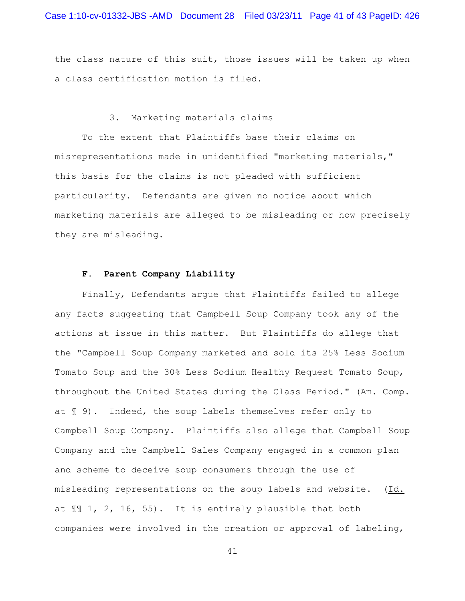the class nature of this suit, those issues will be taken up when a class certification motion is filed.

# 3. Marketing materials claims

To the extent that Plaintiffs base their claims on misrepresentations made in unidentified "marketing materials," this basis for the claims is not pleaded with sufficient particularity. Defendants are given no notice about which marketing materials are alleged to be misleading or how precisely they are misleading.

## **F. Parent Company Liability**

Finally, Defendants argue that Plaintiffs failed to allege any facts suggesting that Campbell Soup Company took any of the actions at issue in this matter. But Plaintiffs do allege that the "Campbell Soup Company marketed and sold its 25% Less Sodium Tomato Soup and the 30% Less Sodium Healthy Request Tomato Soup, throughout the United States during the Class Period." (Am. Comp. at ¶ 9). Indeed, the soup labels themselves refer only to Campbell Soup Company. Plaintiffs also allege that Campbell Soup Company and the Campbell Sales Company engaged in a common plan and scheme to deceive soup consumers through the use of misleading representations on the soup labels and website. (Id. at ¶¶ 1, 2, 16, 55). It is entirely plausible that both companies were involved in the creation or approval of labeling,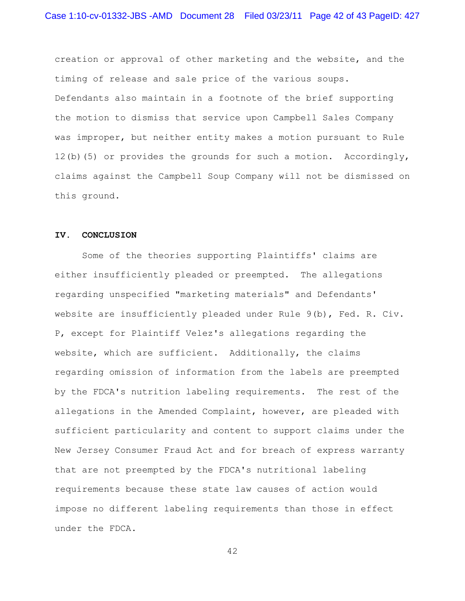creation or approval of other marketing and the website, and the timing of release and sale price of the various soups. Defendants also maintain in a footnote of the brief supporting the motion to dismiss that service upon Campbell Sales Company was improper, but neither entity makes a motion pursuant to Rule 12(b)(5) or provides the grounds for such a motion. Accordingly, claims against the Campbell Soup Company will not be dismissed on this ground.

# **IV. CONCLUSION**

Some of the theories supporting Plaintiffs' claims are either insufficiently pleaded or preempted. The allegations regarding unspecified "marketing materials" and Defendants' website are insufficiently pleaded under Rule 9(b), Fed. R. Civ. P, except for Plaintiff Velez's allegations regarding the website, which are sufficient. Additionally, the claims regarding omission of information from the labels are preempted by the FDCA's nutrition labeling requirements. The rest of the allegations in the Amended Complaint, however, are pleaded with sufficient particularity and content to support claims under the New Jersey Consumer Fraud Act and for breach of express warranty that are not preempted by the FDCA's nutritional labeling requirements because these state law causes of action would impose no different labeling requirements than those in effect under the FDCA.